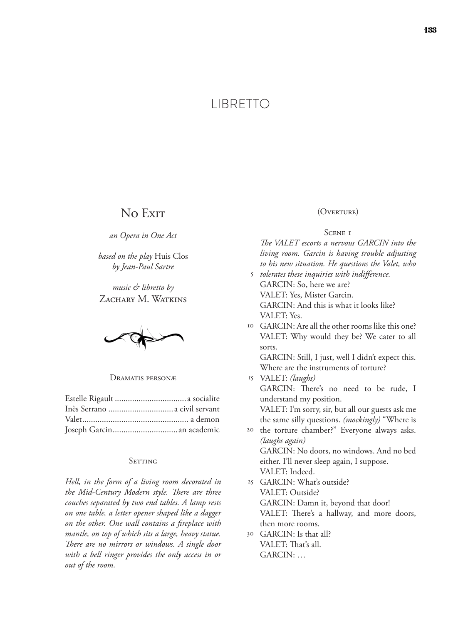# LIBRETTO

## No Exit

*an Opera in One Act*

*based on the play* Huis Clos *by Jean-Paul Sartre*

*music & libretto by* ZACHARY M. WATKINS

Dramatis personæ

| Inès Serrano  a civil servant |  |
|-------------------------------|--|
|                               |  |
| Joseph Garcin an academic     |  |

### SETTING

*Hell, in the form of a living room decorated in the Mid-Century Modern style. There are three couches separated by two end tables. A lamp rests on one table, a letter opener shaped like a dagger on the other. One wall contains a fireplace with mantle, on top of which sits a large, heavy statue. There are no mirrors or windows. A single door with a bell ringer provides the only access in or out of the room.*

### (Overture)

### SCENE I

*The VALET escorts a nervous GARCIN into the living room. Garcin is having trouble adjusting to his new situation. He questions the Valet, who* 

- *tolerates these inquiries with indifference.* 5 GARCIN: So, here we are? VALET: Yes, Mister Garcin. GARCIN: And this is what it looks like? VALET: Yes.
- GARCIN: Are all the other rooms like this one? 10 VALET: Why would they be? We cater to all sorts.

GARCIN: Still, I just, well I didn't expect this. Where are the instruments of torture?

- VALET: *(laughs)* 15 GARCIN: There's no need to be rude, I understand my position. VALET: I'm sorry, sir, but all our guests ask me the same silly questions. *(mockingly)* "Where is
- the torture chamber?" Everyone always asks. 20 *(laughs again)* GARCIN: No doors, no windows. And no bed either. I'll never sleep again, I suppose.
- VALET: Indeed. GARCIN: What's outside? 25 VALET: Outside? GARCIN: Damn it, beyond that door! VALET: There's a hallway, and more doors,

then more rooms.

GARCIN: Is that all? 30 VALET: That's all. GARCIN: …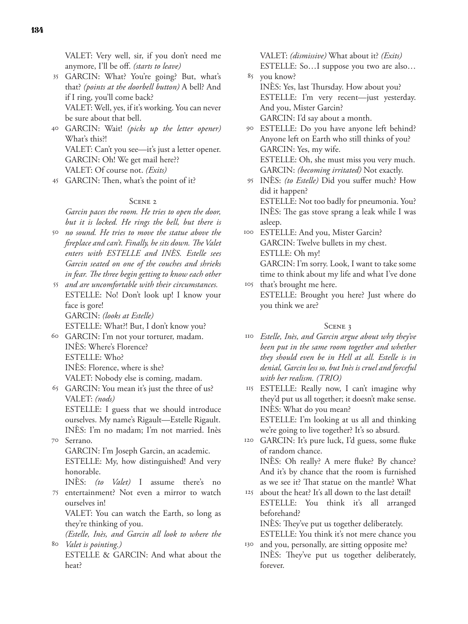VALET: Very well, sir, if you don't need me anymore, I'll be off. *(starts to leave)*

GARCIN: What? You're going? But, what's 35 that? *(points at the doorbell button)* A bell? And if I ring, you'll come back?

VALET: Well, yes, if it's working. You can never be sure about that bell.

GARCIN: Wait! *(picks up the letter opener)* 40 What's this?! VALET: Can't you see—it's just a letter opener. GARCIN: Oh! We get mail here?? VALET: Of course not. *(Exits)*

GARCIN: Then, what's the point of it? 45

### SCENE<sub>2</sub>

*Garcin paces the room. He tries to open the door, but it is locked. He rings the bell, but there is* 

*no sound. He tries to move the statue above the*  50 *fireplace and can't. Finally, he sits down. The Valet enters with ESTELLE and INÈS. Estelle sees Garcin seated on one of the couches and shrieks in fear. The three begin getting to know each other* 

*and are uncomfortable with their circumstances.* 55 ESTELLE: No! Don't look up! I know your face is gore! GARCIN: *(looks at Estelle)*

ESTELLE: What?! But, I don't know you?

- GARCIN: I'm not your torturer, madam. 60 INÈS: Where's Florence? ESTELLE: Who? INÈS: Florence, where is she? VALET: Nobody else is coming, madam.
- GARCIN: You mean it's just the three of us? 65 VALET: *(nods)* ESTELLE: I guess that we should introduce ourselves. My name's Rigault—Estelle Rigault. INÈS: I'm no madam; I'm not married. Inès
- Serrano. 70 GARCIN: I'm Joseph Garcin, an academic. ESTELLE: My, how distinguished! And very honorable.

INÈS: *(to Valet)* I assume there's no 75 entertainment? Not even a mirror to watch ourselves in!

VALET: You can watch the Earth, so long as they're thinking of you.

*(Estelle, Inès, and Garcin all look to where the Valet is pointing.)* 80

ESTELLE & GARCIN: And what about the heat?

VALET: *(dismissive)* What about it? *(Exits)*

ESTELLE: So…I suppose you two are also… you know? 85

- INÈS: Yes, last Thursday. How about you? ESTELLE: I'm very recent—just yesterday. And you, Mister Garcin? GARCIN: I'd say about a month.
- ESTELLE: Do you have anyone left behind? 90 Anyone left on Earth who still thinks of you? GARCIN: Yes, my wife. ESTELLE: Oh, she must miss you very much. GARCIN: *(becoming irritated)* Not exactly.
- INÈS: *(to Estelle)* Did you suffer much? How 95 did it happen? ESTELLE: Not too badly for pneumonia. You? INÈS: The gas stove sprang a leak while I was asleep.
- ESTELLE: And you, Mister Garcin? 100 GARCIN: Twelve bullets in my chest. ESTLLE: Oh my!

GARCIN: I'm sorry. Look, I want to take some time to think about my life and what I've done that's brought me here. 105

ESTELLE: Brought you here? Just where do you think we are?

### SCENE 3

*Estelle, Inès, and Garcin argue about why they've*  110 *been put in the same room together and whether they should even be in Hell at all. Estelle is in denial, Garcin less so, but Inès is cruel and forceful with her realism. (TRIO)*

ESTELLE: Really now, I can't imagine why 115 they'd put us all together; it doesn't make sense. INÈS: What do you mean?

ESTELLE: I'm looking at us all and thinking we're going to live together? It's so absurd.

GARCIN: It's pure luck, I'd guess, some fluke 120 of random chance.

INÈS: Oh really? A mere fluke? By chance? And it's by chance that the room is furnished as we see it? That statue on the mantle? What

about the heat? It's all down to the last detail! ESTELLE: You think it's all arranged beforehand? 125

INÈS: They've put us together deliberately.

ESTELLE: You think it's not mere chance you and you, personally, are sitting opposite me? INÈS: They've put us together deliberately, 130

forever.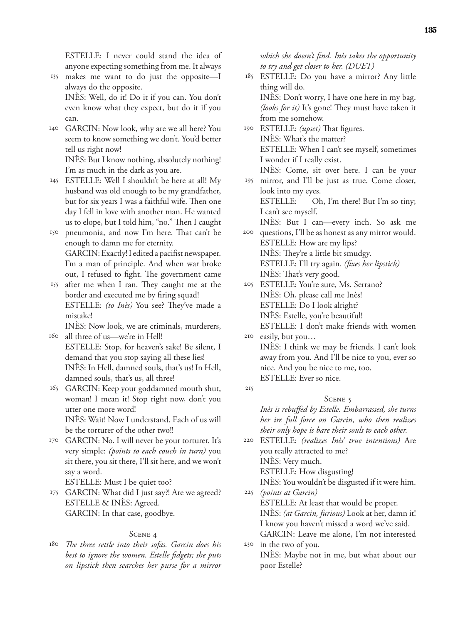ESTELLE: I never could stand the idea of anyone expecting something from me. It always

- makes me want to do just the opposite—I 135 always do the opposite. INÈS: Well, do it! Do it if you can. You don't even know what they expect, but do it if you can.
- GARCIN: Now look, why are we all here? You 140 seem to know something we don't. You'd better tell us right now!

INÈS: But I know nothing, absolutely nothing! I'm as much in the dark as you are.

ESTELLE: Well I shouldn't be here at all! My 145 husband was old enough to be my grandfather, but for six years I was a faithful wife. Then one day I fell in love with another man. He wanted us to elope, but I told him, "no." Then I caught

pneumonia, and now I'm here. That can't be 150 enough to damn me for eternity. GARCIN: Exactly! I edited a pacifist newspaper. I'm a man of principle. And when war broke out, I refused to fight. The government came

after me when I ran. They caught me at the 155 border and executed me by firing squad! ESTELLE: *(to Inès)* You see? They've made a mistake!

INÈS: Now look, we are criminals, murderers, all three of us—we're in Hell! 160

- ESTELLE: Stop, for heaven's sake! Be silent, I demand that you stop saying all these lies! INÈS: In Hell, damned souls, that's us! In Hell, damned souls, that's us, all three!
- GARCIN: Keep your goddamned mouth shut, 165 woman! I mean it! Stop right now, don't you utter one more word! INÈS: Wait! Now I understand. Each of us will be the torturer of the other two!!
- GARCIN: No. I will never be your torturer. It's 170 very simple: *(points to each couch in turn)* you sit there, you sit there, I'll sit here, and we won't say a word.

ESTELLE: Must I be quiet too?

GARCIN: What did I just say?! Are we agreed? 175 ESTELLE & INÈS: Agreed. GARCIN: In that case, goodbye.

### SCENE 4

*The three settle into their sofas. Garcin does his*  180 *best to ignore the women. Estelle fidgets; she puts on lipstick then searches her purse for a mirror* 

*which she doesn't find. Inès takes the opportunity to try and get closer to her. (DUET)*

- ESTELLE: Do you have a mirror? Any little 185 thing will do. INÈS: Don't worry, I have one here in my bag. *(looks for it)* It's gone! They must have taken it from me somehow. 190 ESTELLE: *(upset)* That figures.
- INÈS: What's the matter? ESTELLE: When I can't see myself, sometimes I wonder if I really exist.
- INÈS: Come, sit over here. I can be your mirror, and I'll be just as true. Come closer, 195

look into my eyes. ESTELLE: Oh, I'm there! But I'm so tiny; I can't see myself.

INÈS: But I can—every inch. So ask me questions, I'll be as honest as any mirror would. 200

ESTELLE: How are my lips? INÈS: They're a little bit smudgy. ESTELLE: I'll try again. *(fixes her lipstick)* INÈS: That's very good.

ESTELLE: You're sure, Ms. Serrano? 205 INÈS: Oh, please call me Inès! ESTELLE: Do I look alright? INÈS: Estelle, you're beautiful! ESTELLE: I don't make friends with women

easily, but you… 210 INÈS: I think we may be friends. I can't look away from you. And I'll be nice to you, ever so nice. And you be nice to me, too. ESTELLE: Ever so nice. 215

*Inès is rebuffed by Estelle. Embarrassed, she turns her ire full force on Garcin, who then realizes their only hope is bare their souls to each other.*

SCENE 5

ESTELLE: *(realizes Inès' true intentions)* Are 220 you really attracted to me?

INÈS: Very much.

ESTELLE: How disgusting!

INÈS: You wouldn't be disgusted if it were him. *(points at Garcin)* 225

ESTELLE: At least that would be proper. INÈS: *(at Garcin, furious)* Look at her, damn it! I know you haven't missed a word we've said. GARCIN: Leave me alone, I'm not interested

in the two of you. 230 INÈS: Maybe not in me, but what about our poor Estelle?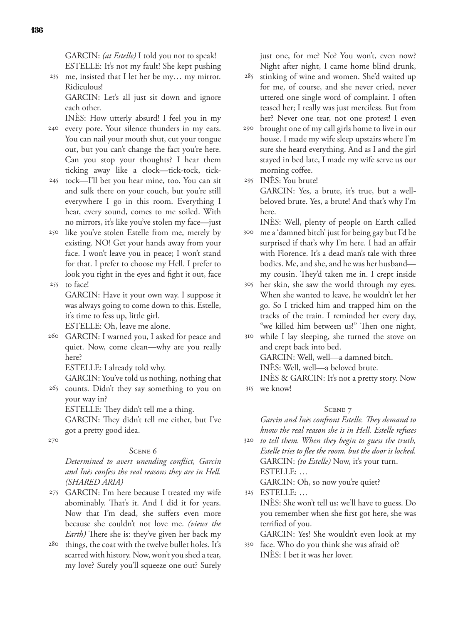GARCIN: *(at Estelle)* I told you not to speak! ESTELLE: It's not my fault! She kept pushing

me, insisted that I let her be my… my mirror. 235 Ridiculous!

GARCIN: Let's all just sit down and ignore each other.

INÈS: How utterly absurd! I feel you in my

- 240 every pore. Your silence thunders in my ears. You can nail your mouth shut, cut your tongue out, but you can't change the fact you're here. Can you stop your thoughts? I hear them ticking away like a clock—tick-tock, tick-
- tock—I'll bet you hear mine, too. You can sit 245 and sulk there on your couch, but you're still everywhere I go in this room. Everything I hear, every sound, comes to me soiled. With no mirrors, it's like you've stolen my face—just
- like you've stolen Estelle from me, merely by 250 existing. NO! Get your hands away from your face. I won't leave you in peace; I won't stand for that. I prefer to choose my Hell. I prefer to look you right in the eyes and fight it out, face to face! 255

GARCIN: Have it your own way. I suppose it was always going to come down to this. Estelle, it's time to fess up, little girl.

ESTELLE: Oh, leave me alone.

GARCIN: I warned you, I asked for peace and 260 quiet. Now, come clean—why are you really here?

ESTELLE: I already told why.

GARCIN: You've told us nothing, nothing that

265 counts. Didn't they say something to you on your way in?

ESTELLE: They didn't tell me a thing. GARCIN: They didn't tell me either, but I've got a pretty good idea.

270

### Scene 6

*Determined to avert unending conflict, Garcin and Inès confess the real reasons they are in Hell. (SHARED ARIA)*

- GARCIN: I'm here because I treated my wife 275 abominably. That's it. And I did it for years. Now that I'm dead, she suffers even more because she couldn't not love me. *(views the Earth)* There she is: they've given her back my
- <sup>280</sup> things, the coat with the twelve bullet holes. It's scarred with history. Now, won't you shed a tear, my love? Surely you'll squeeze one out? Surely

just one, for me? No? You won't, even now? Night after night, I came home blind drunk,

- stinking of wine and women. She'd waited up for me, of course, and she never cried, never uttered one single word of complaint. I often teased her; I really was just merciless. But from her? Never one tear, not one protest! I even 285
- brought one of my call girls home to live in our house. I made my wife sleep upstairs where I'm sure she heard everything. And as I and the girl stayed in bed late, I made my wife serve us our morning coffee. 290

INÈS: You brute! 295

GARCIN: Yes, a brute, it's true, but a wellbeloved brute. Yes, a brute! And that's why I'm here.

INÈS: Well, plenty of people on Earth called

- me a 'damned bitch' just for being gay but I'd be 300 surprised if that's why I'm here. I had an affair with Florence. It's a dead man's tale with three bodies. Me, and she, and he was her husband my cousin. They'd taken me in. I crept inside
- her skin, she saw the world through my eyes. 305 When she wanted to leave, he wouldn't let her go. So I tricked him and trapped him on the tracks of the train. I reminded her every day, "we killed him between us!" Then one night,

while I lay sleeping, she turned the stove on 310 and crept back into bed. GARCIN: Well, well—a damned bitch. INÈS: Well, well—a beloved brute.

INÈS & GARCIN: It's not a pretty story. Now we know! 315

### SCENE 7

*Garcin and Inès confront Estelle. They demand to know the real reason she is in Hell. Estelle refuses* 

*to tell them. When they begin to guess the truth,*  320 *Estelle tries to flee the room, but the door is locked.* GARCIN: *(to Estelle)* Now, it's your turn. ESTELLE: …

GARCIN: Oh, so now you're quiet?

ESTELLE: … 325 INÈS: She won't tell us; we'll have to guess. Do you remember when she first got here, she was terrified of you.

GARCIN: Yes! She wouldn't even look at my face. Who do you think she was afraid of? 330

INÈS: I bet it was her lover.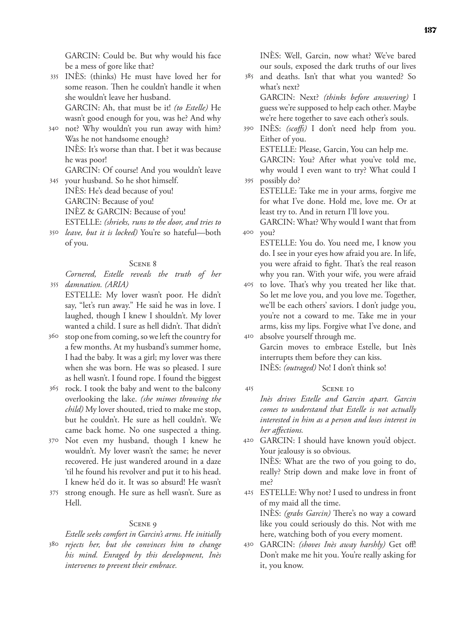GARCIN: Could be. But why would his face be a mess of gore like that?

- INÈS: (thinks) He must have loved her for 335 some reason. Then he couldn't handle it when she wouldn't leave her husband. GARCIN: Ah, that must be it! *(to Estelle)* He wasn't good enough for you, was he? And why
- not? Why wouldn't you run away with him? 340 Was he not handsome enough? INÈS: It's worse than that. I bet it was because he was poor!

GARCIN: Of course! And you wouldn't leave your husband. So he shot himself. 345

- INÈS: He's dead because of you! GARCIN: Because of you! INÈZ & GARCIN: Because of you! ESTELLE: *(shrieks, runs to the door, and tries to*
- *leave, but it is locked)* You're so hateful—both 350 of you.

### Scene 8

*Cornered, Estelle reveals the truth of her damnation. (ARIA)* 355

ESTELLE: My lover wasn't poor. He didn't say, "let's run away." He said he was in love. I laughed, though I knew I shouldn't. My lover wanted a child. I sure as hell didn't. That didn't

- stop one from coming, so we left the country for 360 a few months. At my husband's summer home, I had the baby. It was a girl; my lover was there when she was born. He was so pleased. I sure as hell wasn't. I found rope. I found the biggest
- rock. I took the baby and went to the balcony 365 overlooking the lake. *(she mimes throwing the child)* My lover shouted, tried to make me stop, but he couldn't. He sure as hell couldn't. We came back home. No one suspected a thing.
- Not even my husband, though I knew he 370 wouldn't. My lover wasn't the same; he never recovered. He just wandered around in a daze 'til he found his revolver and put it to his head. I knew he'd do it. It was so absurd! He wasn't
- 375 strong enough. He sure as hell wasn't. Sure as Hell.

### SCENE 9

*Estelle seeks comfort in Garcin's arms. He initially rejects her, but she convinces him to change*  380 *his mind. Enraged by this development, Inès intervenes to prevent their embrace.*

INÈS: Well, Garcin, now what? We've bared our souls, exposed the dark truths of our lives

and deaths. Isn't that what you wanted? So what's next? GARCIN: Next? *(thinks before answering)* I guess we're supposed to help each other. Maybe we're here together to save each other's souls. 385

INÈS: *(scoffs)* I don't need help from you. 390 Either of you.

ESTELLE: Please, Garcin, You can help me. GARCIN: You? After what you've told me, why would I even want to try? What could I possibly do? 395

ESTELLE: Take me in your arms, forgive me for what I've done. Hold me, love me. Or at least try to. And in return I'll love you.

GARCIN: What? Why would I want that from you? 400

ESTELLE: You do. You need me, I know you do. I see in your eyes how afraid you are. In life, you were afraid to fight. That's the real reason why you ran. With your wife, you were afraid

- to love. That's why you treated her like that. So let me love you, and you love me. Together, we'll be each others' saviors. I don't judge you, you're not a coward to me. Take me in your arms, kiss my lips. Forgive what I've done, and 405
- absolve yourself through me. 410 Garcin moves to embrace Estelle, but Inès interrupts them before they can kiss. INÈS: *(outraged)* No! I don't think so!
- SCENE 10 *Inès drives Estelle and Garcin apart. Garcin comes to understand that Estelle is not actually interested in him as a person and loses interest in her affections.* 415
- GARCIN: I should have known you'd object. 420 Your jealousy is so obvious. INÈS: What are the two of you going to do, really? Strip down and make love in front of me?
- ESTELLE: Why not? I used to undress in front 425 of my maid all the time. INÈS: *(grabs Garcin)* There's no way a coward like you could seriously do this. Not with me here, watching both of you every moment.
- GARCIN: *(shoves Inès away harshly)* Get off! 430 Don't make me hit you. You're really asking for it, you know.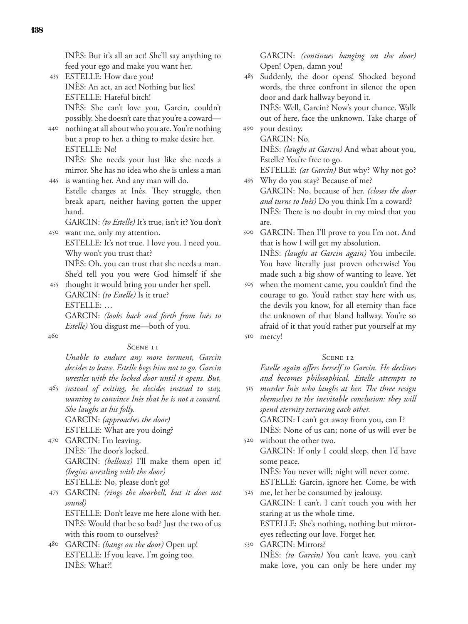INÈS: But it's all an act! She'll say anything to feed your ego and make you want her.

- ESTELLE: How dare you! 435 INÈS: An act, an act! Nothing but lies! ESTELLE: Hateful bitch! INÈS: She can't love you, Garcin, couldn't possibly. She doesn't care that you're a coward—
- nothing at all about who you are. You're nothing 440 but a prop to her, a thing to make desire her. ESTELLE: No!

INÈS: She needs your lust like she needs a mirror. She has no idea who she is unless a man is wanting her. And any man will do. 445

Estelle charges at Inès. They struggle, then break apart, neither having gotten the upper hand.

GARCIN: *(to Estelle)* It's true, isn't it? You don't want me, only my attention. 450

ESTELLE: It's not true. I love you. I need you. Why won't you trust that?

INÈS: Oh, you can trust that she needs a man. She'd tell you you were God himself if she

thought it would bring you under her spell. 455 GARCIN: *(to Estelle)* Is it true? ESTELLE: … GARCIN: *(looks back and forth from Inès to* 

*Estelle)* You disgust me—both of you.

460

### SCENE II

*Unable to endure any more torment, Garcin decides to leave. Estelle begs him not to go. Garcin wrestles with the locked door until it opens. But,* 

*instead of exiting, he decides instead to stay,*  465 *wanting to convince Inès that he is not a coward. She laughs at his folly.* GARCIN: *(approaches the door)*

ESTELLE: What are you doing?

- GARCIN: I'm leaving. 470 INÈS: The door's locked. GARCIN: *(bellows)* I'll make them open it! *(begins wrestling with the door)* ESTELLE: No, please don't go!
- GARCIN: *(rings the doorbell, but it does not*  475 *sound)* ESTELLE: Don't leave me here alone with her. INÈS: Would that be so bad? Just the two of us with this room to ourselves?
- GARCIN: *(bangs on the door)* Open up! 480 ESTELLE: If you leave, I'm going too. INÈS: What?!

GARCIN: *(continues banging on the door)*  Open! Open, damn you!

Suddenly, the door opens! Shocked beyond words, the three confront in silence the open door and dark hallway beyond it. INÈS: Well, Garcin? Now's your chance. Walk 485

out of here, face the unknown. Take charge of 490 your destiny.

GARCIN: No. INÈS: *(laughs at Garcin)* And what about you, Estelle? You're free to go. ESTELLE: *(at Garcin)* But why? Why not go?

Why do you stay? Because of me? 495 GARCIN: No, because of her. *(closes the door and turns to Inès)* Do you think I'm a coward? INÈS: There is no doubt in my mind that you are.

GARCIN: Then I'll prove to you I'm not. And 500 that is how I will get my absolution. INÈS: *(laughs at Garcin again)* You imbecile. You have literally just proven otherwise! You made such a big show of wanting to leave. Yet

when the moment came, you couldn't find the 505 courage to go. You'd rather stay here with us, the devils you know, for all eternity than face the unknown of that bland hallway. You're so afraid of it that you'd rather put yourself at my mercy! 510

### SCENE 12

*Estelle again offers herself to Garcin. He declines and becomes philosophical. Estelle attempts to* 

*murder Inès who laughs at her. The three resign*  515 *themselves to the inevitable conclusion: they will spend eternity torturing each other.* GARCIN: I can't get away from you, can I?

INÈS: None of us can; none of us will ever be

without the other two. 520

GARCIN: If only I could sleep, then I'd have some peace.

INÈS: You never will; night will never come.

ESTELLE: Garcin, ignore her. Come, be with me, let her be consumed by jealousy. 525

GARCIN: I can't. I can't touch you with her staring at us the whole time.

ESTELLE: She's nothing, nothing but mirroreyes reflecting our love. Forget her.

GARCIN: Mirrors? 530 INÈS: *(to Garcin)* You can't leave, you can't make love, you can only be here under my